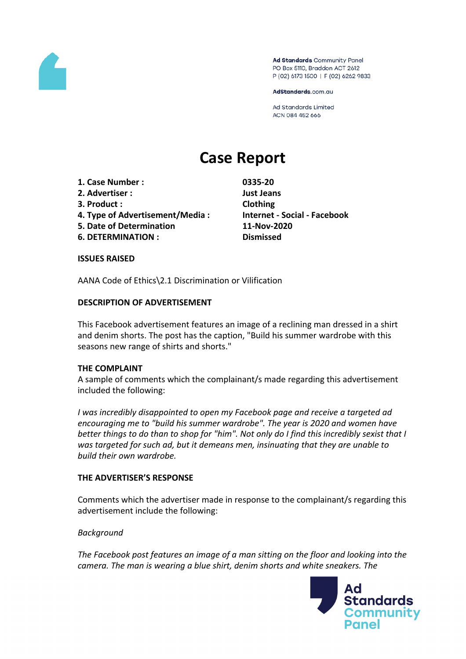

Ad Standards Community Panel PO Box 5110, Braddon ACT 2612 P (02) 6173 1500 | F (02) 6262 9833

AdStandards.com.au

**Ad Standards Limited** ACN 084 452 666

# **Case Report**

- **1. Case Number : 0335-20**
- **2. Advertiser : Just Jeans**
- **3. Product : Clothing**
- **4. Type of Advertisement/Media : Internet - Social - Facebook**
- **5. Date of Determination 11-Nov-2020**
- **6. DETERMINATION : Dismissed**

#### **ISSUES RAISED**

AANA Code of Ethics\2.1 Discrimination or Vilification

### **DESCRIPTION OF ADVERTISEMENT**

This Facebook advertisement features an image of a reclining man dressed in a shirt and denim shorts. The post has the caption, "Build his summer wardrobe with this seasons new range of shirts and shorts."

#### **THE COMPLAINT**

A sample of comments which the complainant/s made regarding this advertisement included the following:

*I was incredibly disappointed to open my Facebook page and receive a targeted ad encouraging me to "build his summer wardrobe". The year is 2020 and women have* better things to do than to shop for "him". Not only do I find this incredibly sexist that I *was targeted for such ad, but it demeans men, insinuating that they are unable to build their own wardrobe.*

#### **THE ADVERTISER'S RESPONSE**

Comments which the advertiser made in response to the complainant/s regarding this advertisement include the following:

#### *Background*

*The Facebook post features an image of a man sitting on the floor and looking into the camera. The man is wearing a blue shirt, denim shorts and white sneakers. The*

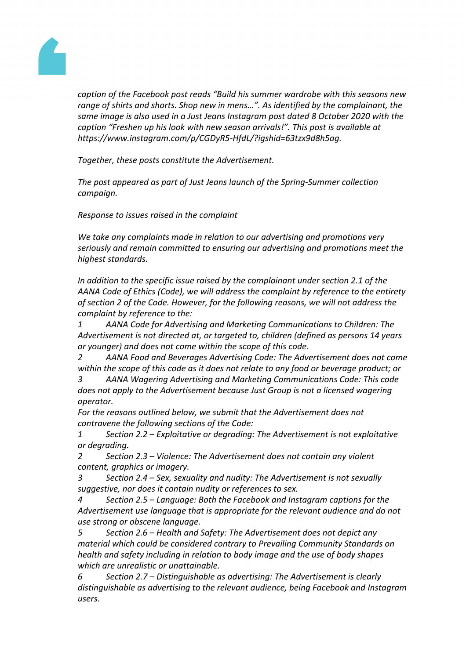

*caption of the Facebook post reads "Build his summer wardrobe with this seasons new range of shirts and shorts. Shop new in mens…". As identified by the complainant, the same image is also used in a Just Jeans Instagram post dated 8 October 2020 with the caption "Freshen up his look with new season arrivals!". This post is available at https://www.instagram.com/p/CGDyR5-HfdL/?igshid=63tzx9d8h5ag.*

*Together, these posts constitute the Advertisement.*

*The post appeared as part of Just Jeans launch of the Spring-Summer collection campaign.*

*Response to issues raised in the complaint*

*We take any complaints made in relation to our advertising and promotions very seriously and remain committed to ensuring our advertising and promotions meet the highest standards.* 

*In addition to the specific issue raised by the complainant under section 2.1 of the AANA Code of Ethics (Code), we will address the complaint by reference to the entirety of section 2 of the Code. However, for the following reasons, we will not address the complaint by reference to the:*

*1 AANA Code for Advertising and Marketing Communications to Children: The Advertisement is not directed at, or targeted to, children (defined as persons 14 years or younger) and does not come within the scope of this code.* 

*2 AANA Food and Beverages Advertising Code: The Advertisement does not come within the scope of this code as it does not relate to any food or beverage product; or*

*3 AANA Wagering Advertising and Marketing Communications Code: This code does not apply to the Advertisement because Just Group is not a licensed wagering operator.*

*For the reasons outlined below, we submit that the Advertisement does not contravene the following sections of the Code:*

*1 Section 2.2 – Exploitative or degrading: The Advertisement is not exploitative or degrading.*

*2 Section 2.3 – Violence: The Advertisement does not contain any violent content, graphics or imagery.* 

*3 Section 2.4 – Sex, sexuality and nudity: The Advertisement is not sexually suggestive, nor does it contain nudity or references to sex.*

*4 Section 2.5 – Language: Both the Facebook and Instagram captions for the Advertisement use language that is appropriate for the relevant audience and do not use strong or obscene language.* 

*5 Section 2.6 – Health and Safety: The Advertisement does not depict any material which could be considered contrary to Prevailing Community Standards on health and safety including in relation to body image and the use of body shapes which are unrealistic or unattainable.*

*6 Section 2.7 – Distinguishable as advertising: The Advertisement is clearly distinguishable as advertising to the relevant audience, being Facebook and Instagram users.*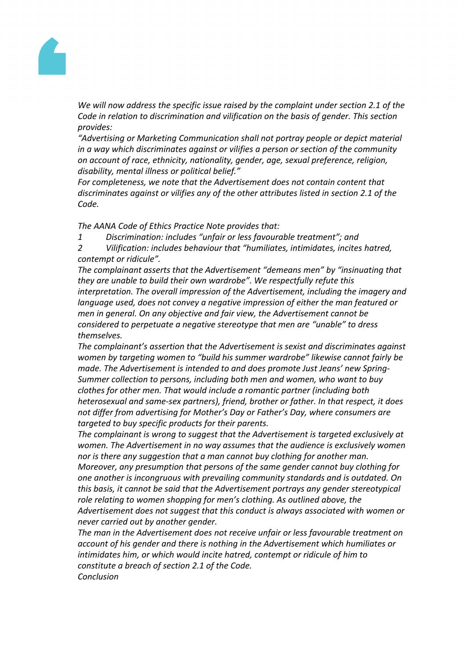

*We will now address the specific issue raised by the complaint under section 2.1 of the Code in relation to discrimination and vilification on the basis of gender. This section provides:*

*"Advertising or Marketing Communication shall not portray people or depict material in a way which discriminates against or vilifies a person or section of the community on account of race, ethnicity, nationality, gender, age, sexual preference, religion, disability, mental illness or political belief."*

*For completeness, we note that the Advertisement does not contain content that discriminates against or vilifies any of the other attributes listed in section 2.1 of the Code.*

*The AANA Code of Ethics Practice Note provides that:*

*1 Discrimination: includes "unfair or less favourable treatment"; and*

*2 Vilification: includes behaviour that "humiliates, intimidates, incites hatred, contempt or ridicule".*

*The complainant asserts that the Advertisement "demeans men" by "insinuating that they are unable to build their own wardrobe". We respectfully refute this interpretation. The overall impression of the Advertisement, including the imagery and language used, does not convey a negative impression of either the man featured or men in general. On any objective and fair view, the Advertisement cannot be considered to perpetuate a negative stereotype that men are "unable" to dress themselves.*

*The complainant's assertion that the Advertisement is sexist and discriminates against women by targeting women to "build his summer wardrobe" likewise cannot fairly be made. The Advertisement is intended to and does promote Just Jeans' new Spring-Summer collection to persons, including both men and women, who want to buy clothes for other men. That would include a romantic partner (including both heterosexual and same-sex partners), friend, brother or father. In that respect, it does not differ from advertising for Mother's Day or Father's Day, where consumers are targeted to buy specific products for their parents.* 

*The complainant is wrong to suggest that the Advertisement is targeted exclusively at women. The Advertisement in no way assumes that the audience is exclusively women nor is there any suggestion that a man cannot buy clothing for another man.*

*Moreover, any presumption that persons of the same gender cannot buy clothing for one another is incongruous with prevailing community standards and is outdated. On this basis, it cannot be said that the Advertisement portrays any gender stereotypical role relating to women shopping for men's clothing. As outlined above, the Advertisement does not suggest that this conduct is always associated with women or never carried out by another gender.*

*The man in the Advertisement does not receive unfair or less favourable treatment on account of his gender and there is nothing in the Advertisement which humiliates or intimidates him, or which would incite hatred, contempt or ridicule of him to constitute a breach of section 2.1 of the Code. Conclusion*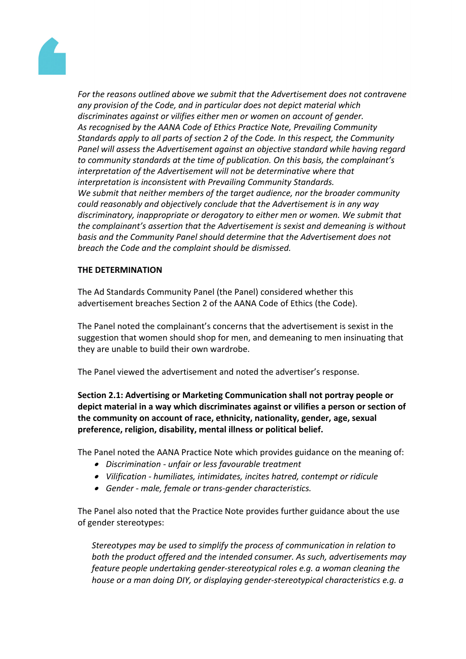

*For the reasons outlined above we submit that the Advertisement does not contravene any provision of the Code, and in particular does not depict material which discriminates against or vilifies either men or women on account of gender. As recognised by the AANA Code of Ethics Practice Note, Prevailing Community Standards apply to all parts of section 2 of the Code. In this respect, the Community Panel will assess the Advertisement against an objective standard while having regard to community standards at the time of publication. On this basis, the complainant's interpretation of the Advertisement will not be determinative where that interpretation is inconsistent with Prevailing Community Standards. We submit that neither members of the target audience, nor the broader community could reasonably and objectively conclude that the Advertisement is in any way discriminatory, inappropriate or derogatory to either men or women. We submit that the complainant's assertion that the Advertisement is sexist and demeaning is without basis and the Community Panel should determine that the Advertisement does not breach the Code and the complaint should be dismissed.*

## **THE DETERMINATION**

The Ad Standards Community Panel (the Panel) considered whether this advertisement breaches Section 2 of the AANA Code of Ethics (the Code).

The Panel noted the complainant's concerns that the advertisement is sexist in the suggestion that women should shop for men, and demeaning to men insinuating that they are unable to build their own wardrobe.

The Panel viewed the advertisement and noted the advertiser's response.

**Section 2.1: Advertising or Marketing Communication shall not portray people or depict material in a way which discriminates against or vilifies a person or section of the community on account of race, ethnicity, nationality, gender, age, sexual preference, religion, disability, mental illness or political belief.**

The Panel noted the AANA Practice Note which provides guidance on the meaning of:

- *Discrimination - unfair or less favourable treatment*
- *Vilification - humiliates, intimidates, incites hatred, contempt or ridicule*
- *Gender - male, female or trans-gender characteristics.*

The Panel also noted that the Practice Note provides further guidance about the use of gender stereotypes:

*Stereotypes may be used to simplify the process of communication in relation to both the product offered and the intended consumer. As such, advertisements may feature people undertaking gender-stereotypical roles e.g. a woman cleaning the house or a man doing DIY, or displaying gender-stereotypical characteristics e.g. a*